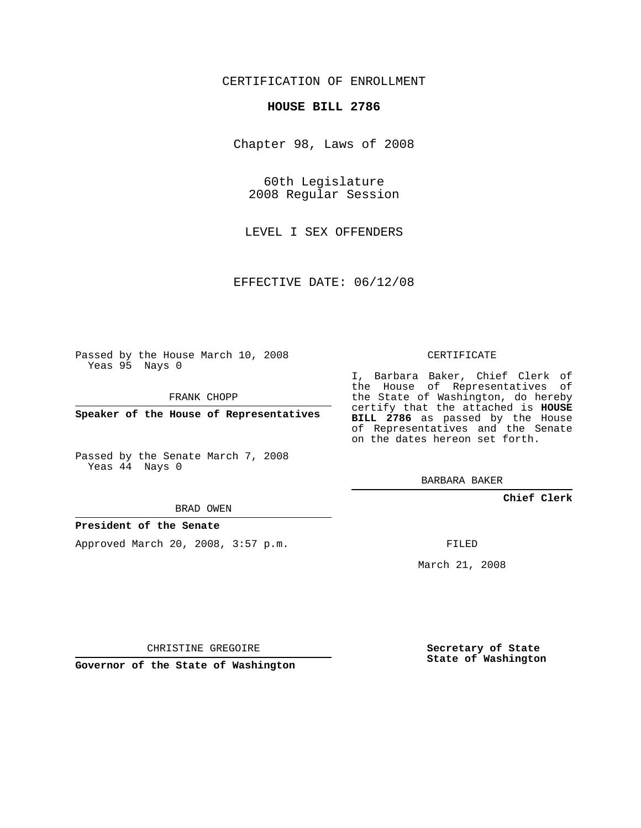# CERTIFICATION OF ENROLLMENT

#### **HOUSE BILL 2786**

Chapter 98, Laws of 2008

60th Legislature 2008 Regular Session

LEVEL I SEX OFFENDERS

EFFECTIVE DATE: 06/12/08

Passed by the House March 10, 2008 Yeas 95 Nays 0

FRANK CHOPP

**Speaker of the House of Representatives**

Passed by the Senate March 7, 2008 Yeas 44 Nays 0

I, Barbara Baker, Chief Clerk of the House of Representatives of the State of Washington, do hereby certify that the attached is **HOUSE BILL 2786** as passed by the House of Representatives and the Senate on the dates hereon set forth.

CERTIFICATE

BARBARA BAKER

**Chief Clerk**

BRAD OWEN

## **President of the Senate**

Approved March 20, 2008, 3:57 p.m.

FILED

March 21, 2008

CHRISTINE GREGOIRE

**Governor of the State of Washington**

**Secretary of State State of Washington**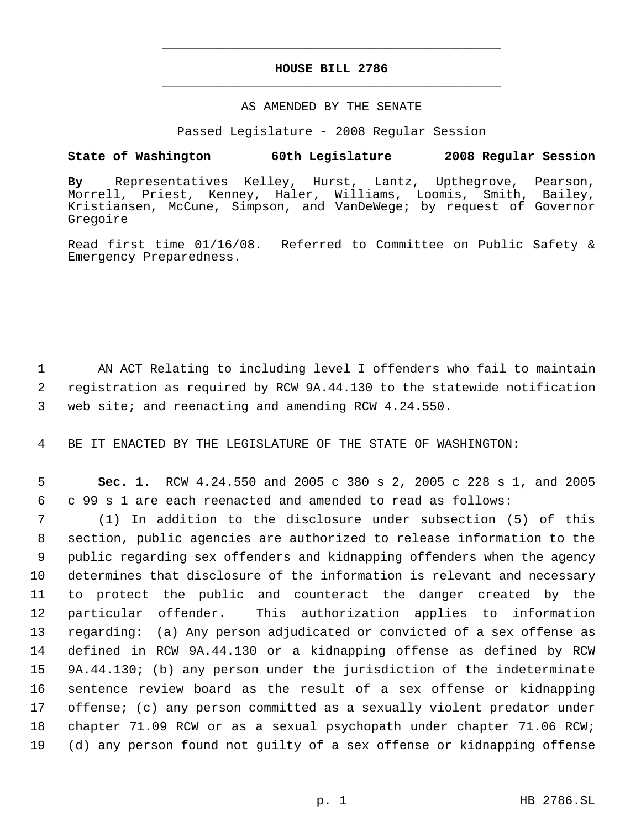# **HOUSE BILL 2786** \_\_\_\_\_\_\_\_\_\_\_\_\_\_\_\_\_\_\_\_\_\_\_\_\_\_\_\_\_\_\_\_\_\_\_\_\_\_\_\_\_\_\_\_\_

\_\_\_\_\_\_\_\_\_\_\_\_\_\_\_\_\_\_\_\_\_\_\_\_\_\_\_\_\_\_\_\_\_\_\_\_\_\_\_\_\_\_\_\_\_

### AS AMENDED BY THE SENATE

Passed Legislature - 2008 Regular Session

## **State of Washington 60th Legislature 2008 Regular Session**

**By** Representatives Kelley, Hurst, Lantz, Upthegrove, Pearson, Morrell, Priest, Kenney, Haler, Williams, Loomis, Smith, Bailey, Kristiansen, McCune, Simpson, and VanDeWege; by request of Governor Gregoire

Read first time 01/16/08. Referred to Committee on Public Safety & Emergency Preparedness.

 1 AN ACT Relating to including level I offenders who fail to maintain 2 registration as required by RCW 9A.44.130 to the statewide notification 3 web site; and reenacting and amending RCW 4.24.550.

4 BE IT ENACTED BY THE LEGISLATURE OF THE STATE OF WASHINGTON:

 5 **Sec. 1.** RCW 4.24.550 and 2005 c 380 s 2, 2005 c 228 s 1, and 2005 6 c 99 s 1 are each reenacted and amended to read as follows:

 (1) In addition to the disclosure under subsection (5) of this section, public agencies are authorized to release information to the public regarding sex offenders and kidnapping offenders when the agency determines that disclosure of the information is relevant and necessary to protect the public and counteract the danger created by the particular offender. This authorization applies to information regarding: (a) Any person adjudicated or convicted of a sex offense as defined in RCW 9A.44.130 or a kidnapping offense as defined by RCW 9A.44.130; (b) any person under the jurisdiction of the indeterminate sentence review board as the result of a sex offense or kidnapping offense; (c) any person committed as a sexually violent predator under chapter 71.09 RCW or as a sexual psychopath under chapter 71.06 RCW; (d) any person found not guilty of a sex offense or kidnapping offense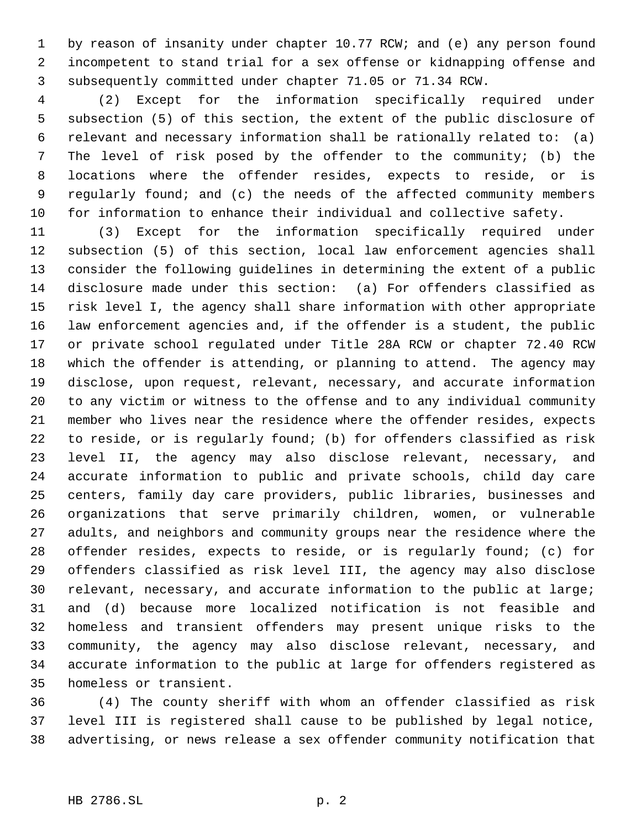1 by reason of insanity under chapter 10.77 RCW; and (e) any person found incompetent to stand trial for a sex offense or kidnapping offense and subsequently committed under chapter 71.05 or 71.34 RCW.

 (2) Except for the information specifically required under subsection (5) of this section, the extent of the public disclosure of relevant and necessary information shall be rationally related to: (a) The level of risk posed by the offender to the community; (b) the locations where the offender resides, expects to reside, or is regularly found; and (c) the needs of the affected community members for information to enhance their individual and collective safety.

 (3) Except for the information specifically required under subsection (5) of this section, local law enforcement agencies shall consider the following guidelines in determining the extent of a public disclosure made under this section: (a) For offenders classified as risk level I, the agency shall share information with other appropriate law enforcement agencies and, if the offender is a student, the public or private school regulated under Title 28A RCW or chapter 72.40 RCW which the offender is attending, or planning to attend. The agency may disclose, upon request, relevant, necessary, and accurate information to any victim or witness to the offense and to any individual community member who lives near the residence where the offender resides, expects to reside, or is regularly found; (b) for offenders classified as risk level II, the agency may also disclose relevant, necessary, and accurate information to public and private schools, child day care centers, family day care providers, public libraries, businesses and organizations that serve primarily children, women, or vulnerable adults, and neighbors and community groups near the residence where the offender resides, expects to reside, or is regularly found; (c) for offenders classified as risk level III, the agency may also disclose relevant, necessary, and accurate information to the public at large; and (d) because more localized notification is not feasible and homeless and transient offenders may present unique risks to the community, the agency may also disclose relevant, necessary, and accurate information to the public at large for offenders registered as homeless or transient.

 (4) The county sheriff with whom an offender classified as risk level III is registered shall cause to be published by legal notice, advertising, or news release a sex offender community notification that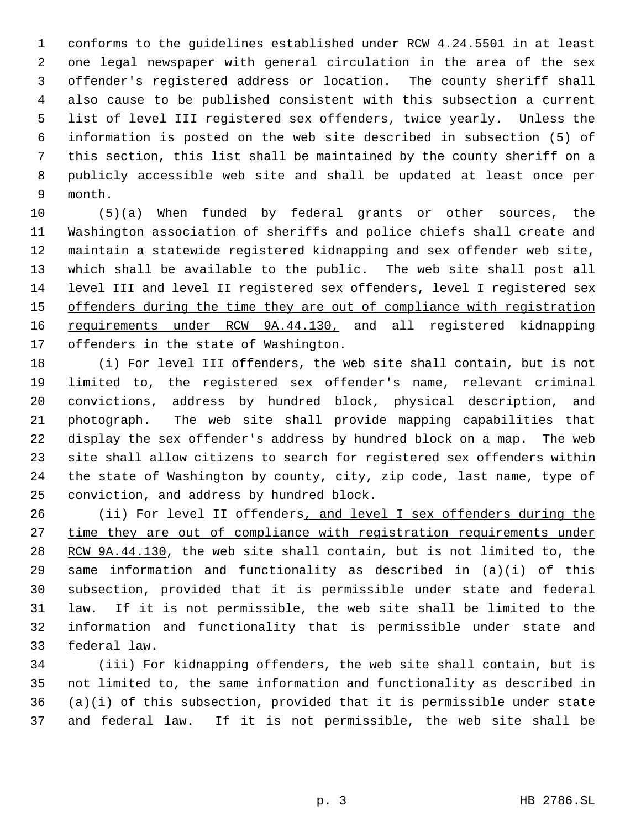conforms to the guidelines established under RCW 4.24.5501 in at least one legal newspaper with general circulation in the area of the sex offender's registered address or location. The county sheriff shall also cause to be published consistent with this subsection a current list of level III registered sex offenders, twice yearly. Unless the information is posted on the web site described in subsection (5) of this section, this list shall be maintained by the county sheriff on a publicly accessible web site and shall be updated at least once per month.

 (5)(a) When funded by federal grants or other sources, the Washington association of sheriffs and police chiefs shall create and maintain a statewide registered kidnapping and sex offender web site, which shall be available to the public. The web site shall post all level III and level II registered sex offenders, level I registered sex 15 offenders during the time they are out of compliance with registration 16 requirements under RCW 9A.44.130, and all registered kidnapping offenders in the state of Washington.

 (i) For level III offenders, the web site shall contain, but is not limited to, the registered sex offender's name, relevant criminal convictions, address by hundred block, physical description, and photograph. The web site shall provide mapping capabilities that display the sex offender's address by hundred block on a map. The web site shall allow citizens to search for registered sex offenders within the state of Washington by county, city, zip code, last name, type of conviction, and address by hundred block.

26 (ii) For level II offenders, and level I sex offenders during the 27 time they are out of compliance with registration requirements under 28 RCW 9A.44.130, the web site shall contain, but is not limited to, the same information and functionality as described in (a)(i) of this subsection, provided that it is permissible under state and federal law. If it is not permissible, the web site shall be limited to the information and functionality that is permissible under state and federal law.

 (iii) For kidnapping offenders, the web site shall contain, but is not limited to, the same information and functionality as described in (a)(i) of this subsection, provided that it is permissible under state and federal law. If it is not permissible, the web site shall be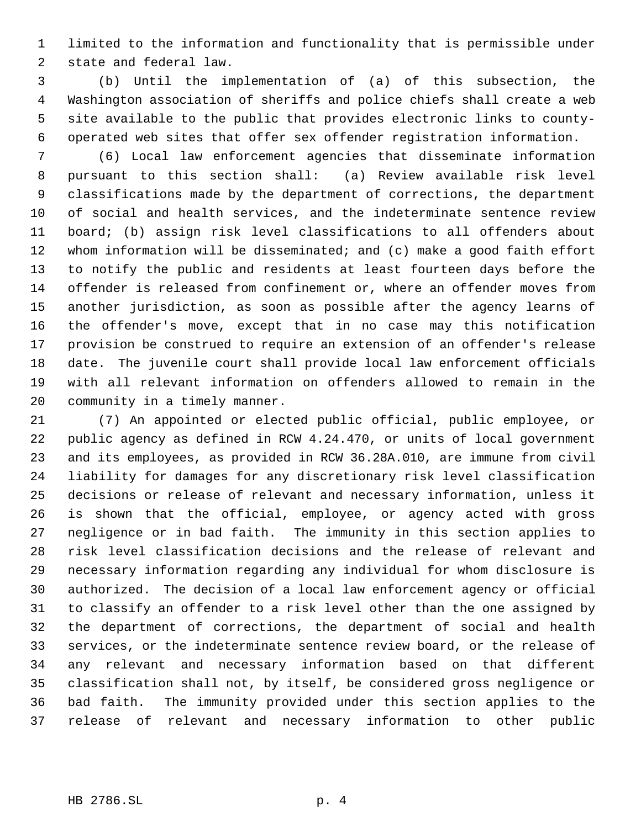limited to the information and functionality that is permissible under state and federal law.

 (b) Until the implementation of (a) of this subsection, the Washington association of sheriffs and police chiefs shall create a web site available to the public that provides electronic links to county- operated web sites that offer sex offender registration information.

 (6) Local law enforcement agencies that disseminate information pursuant to this section shall: (a) Review available risk level classifications made by the department of corrections, the department of social and health services, and the indeterminate sentence review board; (b) assign risk level classifications to all offenders about whom information will be disseminated; and (c) make a good faith effort to notify the public and residents at least fourteen days before the offender is released from confinement or, where an offender moves from another jurisdiction, as soon as possible after the agency learns of the offender's move, except that in no case may this notification provision be construed to require an extension of an offender's release date. The juvenile court shall provide local law enforcement officials with all relevant information on offenders allowed to remain in the community in a timely manner.

 (7) An appointed or elected public official, public employee, or public agency as defined in RCW 4.24.470, or units of local government and its employees, as provided in RCW 36.28A.010, are immune from civil liability for damages for any discretionary risk level classification decisions or release of relevant and necessary information, unless it is shown that the official, employee, or agency acted with gross negligence or in bad faith. The immunity in this section applies to risk level classification decisions and the release of relevant and necessary information regarding any individual for whom disclosure is authorized. The decision of a local law enforcement agency or official to classify an offender to a risk level other than the one assigned by the department of corrections, the department of social and health services, or the indeterminate sentence review board, or the release of any relevant and necessary information based on that different classification shall not, by itself, be considered gross negligence or bad faith. The immunity provided under this section applies to the release of relevant and necessary information to other public